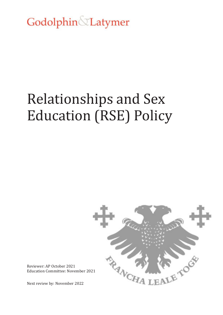Godolphin Latymer

# Relationships and Sex Education (RSE) Policy



Reviewer: AP October 2021 Education Committee: November 2021

Next review by: November 2022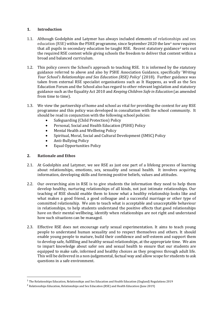#### **1. Introduction**

- 1.1. Although Godolphin and Latymer has always included elements of relationships and sex education (RSE) within the PSHE programme, since September 2020 the law<sup>1</sup> now requires that all pupils in secondary education be taught RSE. Recent statutory guidance<sup>2</sup> sets out the required RSE content while giving schools the freedom to deliver that content within a broad and balanced curriculum.
- 1.2. This policy covers the School's approach to teaching RSE. It is informed by the statutory guidance referred to above and also by PSHE Association Guidance, specifically '*Writing Your School's Relationships and Sex Education (RSE) Policy*' (2018). Further guidance was taken from external RSE specialist organisations such as It Happens, as well as the Sex Education Forum and the School also has regard to other relevant legislation and statutory guidance such as the Equality Act 2010 and *Keeping Children Safe in Education* (as amended from time to time).
- 1.3. We view the partnership of home and school as vital for providing the context for any RSE programme and this policy was developed in consultation with the school community. It should be read in conjunction with the following school policies:
	- Safeguarding (Child Protection) Policy
	- Personal, Social and Health Education (PSHE) Policy
	- Mental Health and Wellbeing Policy
	- Spiritual, Moral, Social and Cultural Development (SMSC) Policy
	- Anti-Bullying Policy
	- Equal Opportunities Policy

### **2. Rationale and Ethos**

 $\overline{a}$ 

- 2.1. At Godolphin and Latymer, we see RSE as just one part of a lifelong process of learning about relationships, emotions, sex, sexuality and sexual health. It involves acquiring information, developing skills and forming positive beliefs, values and attitudes.
- 2.2. Our overarching aim in RSE is to give students the information they need to help them develop healthy, nurturing relationships of all kinds, not just intimate relationships. Our teaching of RSE should enable them to know what a healthy relationship looks like and what makes a good friend, a good colleague and a successful marriage or other type of committed relationship. We aim to teach what is acceptable and unacceptable behaviour in relationships, to help students understand the positive effects that good relationships have on their mental wellbeing, identify when relationships are not right and understand how such situations can be managed.
- 2.3. Effective RSE does not encourage early sexual experimentation. It aims to teach young people to understand human sexuality and to respect themselves and others. It should enable young people to mature, build their confidence and self-esteem and support them to develop safe, fulfilling and healthy sexual relationships, at the appropriate time. We aim to impart knowledge about safer sex and sexual health to ensure that our students are equipped to make safe, informed and healthy choices as they progress through adult life. This will be delivered in a non-judgemental, factual way and allow scope for students to ask questions in a safe environment.

<sup>1</sup> The Relationships Education, Relationships and Sex Education and Health Education (England) Regulations 2019

<sup>2</sup> Relationships Education, Relationships and Sex Education (RSE) and Health Education (June 2019)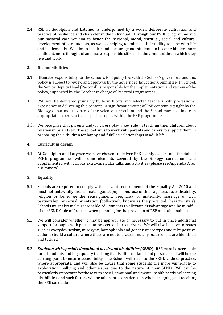2.4. RSE at Godolphin and Latymer is underpinned by a wider, deliberate cultivation and practice of resilience and character in the individual. Through our PSHE programme and our pastoral care we aim to foster the personal, moral, spiritual, social and cultural development of our students, as well as helping to enhance their ability to cope with life and its demands. We aim to inspire and encourage our students to become kinder, more confident, more thoughtful and more responsible citizens in the communities in which they live and work.

#### **3. Responsibilities**

- 3.1. Ultimate responsibility for the school's RSE policy lies with the School's governors, and this policy is subject to review and approval by the Governors' Education Committee. In School, the Senior Deputy Head (Pastoral) is responsible for the implementation and review of the policy, supported by the Teacher in charge of Pastoral Programmes.
- 3.2. RSE will be delivered primarily by form tutors and selected teachers with professional experience in delivering this content. A significant amount of RSE content is taught by the Biology department as part of the science curriculum and the School may also invite in appropriate experts to teach specific topics within the RSE programme.
- 3.3. We recognise that parents and/or carers play a key role in teaching their children about relationships and sex. The school aims to work with parents and carers to support them in preparing their children for happy and fulfilled relationships in adult life.

#### **4. Curriculum design**

4.1. At Godolphin and Latymer we have chosen to deliver RSE mainly as part of a timetabled PSHE programme, with some elements covered by the Biology curriculum, and supplemented with various extra-curricular talks and activities (please see Appendix A for a summary).

#### **5. Equality**

- 5.1. Schools are required to comply with relevant requirements of the Equality Act 2010 and must not unlawfully discriminate against pupils because of their age, sex, race, disability, religion or belief, gender reassignment, pregnancy or maternity, marriage or civil partnership, or sexual orientation (collectively known as the protected characteristics). Schools must also make reasonable adjustments to alleviate disadvantage and be mindful of the SEND Code of Practice when planning for the provision of RSE and other subjects.
- 5.2. We will consider whether it may be appropriate or necessary to put in place additional support for pupils with particular protected characteristics. We will also be alive to issues such as everyday sexism, misogyny, homophobia and gender stereotypes and take positive action to build a culture where these are not tolerated, and any occurrences are identified and tackled.
- 5.3. *Students with special educational needs and disabilities (SEND*): RSE must be accessible for all students and high quality teaching that is differentiated and personalised will be the starting point to ensure accessibility. The School will refer to the SEND code of practice, where appropriate, and will also be aware that some students are more vulnerable to exploitation, bullying and other issues due to the nature of their SEND. RSE can be particularly important for those with social, emotional and mental health needs or learning disabilities, and such factors will be taken into consideration when designing and teaching the RSE curriculum.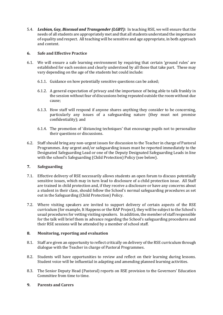5.4. *Lesbian, Gay, Bisexual and Transgender (LGBT):* In teaching RSE, we will ensure that the needs of all students are appropriately met and that all students understand the importance of equality and respect. All teaching will be sensitive and age appropriate, in both approach and content.

#### **6. Safe and Effective Practice**

- 6.1. We will ensure a safe learning environment by requiring that certain 'ground rules' are established for each session and clearly understood by all those that take part. These may vary depending on the age of the students but could include:
	- 6.1.1. Guidance on how potentially sensitive questions can be asked;
	- 6.1.2. A general expectation of privacy and the importance of being able to talk frankly in the session without fear of discussions being repeated outside the room without due cause;
	- 6.1.3. How staff will respond if anyone shares anything they consider to be concerning, particularly any issues of a safeguarding nature (they must not promise confidentiality); and
	- 6.1.4. The promotion of 'distancing techniques' that encourage pupils not to personalize their questions or discussions.
- 6.2. Staff should bring any non-urgent issues for discussion to the Teacher in charge of Pastoral Programmes. Any urgent and/or safeguarding issues must be reported immediately to the Designated Safeguarding Lead or one of the Deputy Designated Safeguarding Leads in line with the school's Safeguarding (Child Protection) Policy (see below).

#### **7. Safeguarding**

- 7.1. Effective delivery of RSE necessarily allows students an open forum to discuss potentially sensitive issues, which may in turn lead to disclosure of a child protection issue. All Staff are trained in child protection and, if they receive a disclosure or have any concerns about a student in their class, should follow the School's normal safeguarding procedures as set out in the Safeguarding (Child Protection) Policy.
- 7.2. Where visiting speakers are invited to support delivery of certain aspects of the RSE curriculum (for example, It Happens or the RAP Project), they will be subject to the School's usual procedures for vetting visiting speakers. In addition, the member of staff responsible for the talk will brief them in advance regarding the School's safeguarding procedures and their RSE sessions will be attended by a member of school staff.

## **8. Monitoring, reporting and evaluation**

- 8.1. Staff are given an opportunity to reflect critically on delivery of the RSE curriculum through dialogue with the Teacher in charge of Pastoral Programmes.
- 8.2. Students will have opportunities to review and reflect on their learning during lessons. Student voice will be influential in adapting and amending planned learning activities.
- 8.3. The Senior Deputy Head (Pastoral) reports on RSE provision to the Governors' Education Committee from time to time.
- **9. Parents and Carers**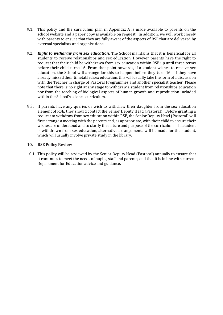- 9.1. This policy and the curriculum plan in Appendix A is made available to parents on the school website and a paper copy is available on request. In addition, we will work closely with parents to ensure that they are fully aware of the aspects of RSE that are delivered by external specialists and organisations.
- 9.2. *Right to withdraw from sex education*: The School maintains that it is beneficial for all students to receive relationships and sex education. However parents have the right to request that their child be withdrawn from sex education within RSE up until three terms before their child turns 16. From that point onwards, if a student wishes to receive sex education, the School will arrange for this to happen before they turn 16. If they have already missed their timetabled sex education, this will usually take the form of a discussion with the Teacher in charge of Pastoral Programmes and another specialist teacher. Please note that there is no right at any stage to withdraw a student from relationships education nor from the teaching of biological aspects of human growth and reproduction included within the School's science curriculum.
- 9.3. If parents have any queries or wish to withdraw their daughter from the sex education element of RSE, they should contact the Senior Deputy Head (Pastoral). Before granting a request to withdraw from sex education within RSE, the Senior Deputy Head (Pastoral) will first arrange a meeting with the parents and, as appropriate, with their child to ensure their wishes are understood and to clarify the nature and purpose of the curriculum. If a student is withdrawn from sex education, alternative arrangements will be made for the student, which will usually involve private study in the library.

#### **10. RSE Policy Review**

10.1. This policy will be reviewed by the Senior Deputy Head (Pastoral) annually to ensure that it continues to meet the needs of pupils, staff and parents, and that it is in line with current Department for Education advice and guidance.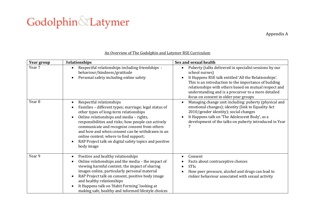# Godolphin &Latymer

Appendix A

| <b>Year group</b> | Relationships                                                                                                                                                                                                                                                                                                                                                                                                                                                                  | Sex and sexual health                                                                                                                                                                                                                                                                                                                                                         |
|-------------------|--------------------------------------------------------------------------------------------------------------------------------------------------------------------------------------------------------------------------------------------------------------------------------------------------------------------------------------------------------------------------------------------------------------------------------------------------------------------------------|-------------------------------------------------------------------------------------------------------------------------------------------------------------------------------------------------------------------------------------------------------------------------------------------------------------------------------------------------------------------------------|
| Year 7            | Respectful relationships including friendships -<br>$\bullet$<br>behaviour/kindness/gratitude<br>Personal safety including online safety                                                                                                                                                                                                                                                                                                                                       | Puberty (talks delivered in specialist sessions by our<br>$\bullet$<br>school nurses)<br>It Happens RSE talk entitled 'All the Relationships'.<br>$\bullet$<br>This is an introduction to the importance of building<br>relationships with others based on mutual respect and<br>understanding and is a precursor to a more detailed<br>focus on consent in older year groups |
| Year <sub>8</sub> | Respectful relationships<br>$\bullet$<br>Families - different types; marriage; legal status of<br>$\bullet$<br>other types of long-term relationships<br>Online relationships and media - rights,<br>responsibilities and risks; how people can actively<br>communicate and recognise consent from others<br>and how and when consent can be withdrawn in an<br>online context; where to find support;<br>RAP Project talk on digital safety topics and positive<br>body image | Managing change unit including: puberty (physical and<br>$\bullet$<br>emotional changes); identity (link to Equality Act<br>2010/gender identity); social changes<br>It Happens talk on 'The Adolescent Body', as a<br>$\bullet$<br>development of the talks on puberty introduced in Year                                                                                    |
| Year 9            | Positive and healthy relationships<br>$\bullet$<br>Online relationships and the media - the impact of<br>$\bullet$<br>viewing harmful content; the impact of sharing<br>images online, particularly personal material<br>RAP Project talk on consent, positive body image<br>and healthy relationships<br>It Happens talk on 'Habit Forming' looking at<br>making safe, healthy and informed lifestyle choices                                                                 | Consent<br>Facts about contraceptive choices<br><b>STIs</b><br>How peer pressure, alcohol and drugs can lead to<br>riskier behaviour associated with sexual activity                                                                                                                                                                                                          |

# An Overview of The Godolphin and Latymer RSE Curriculum